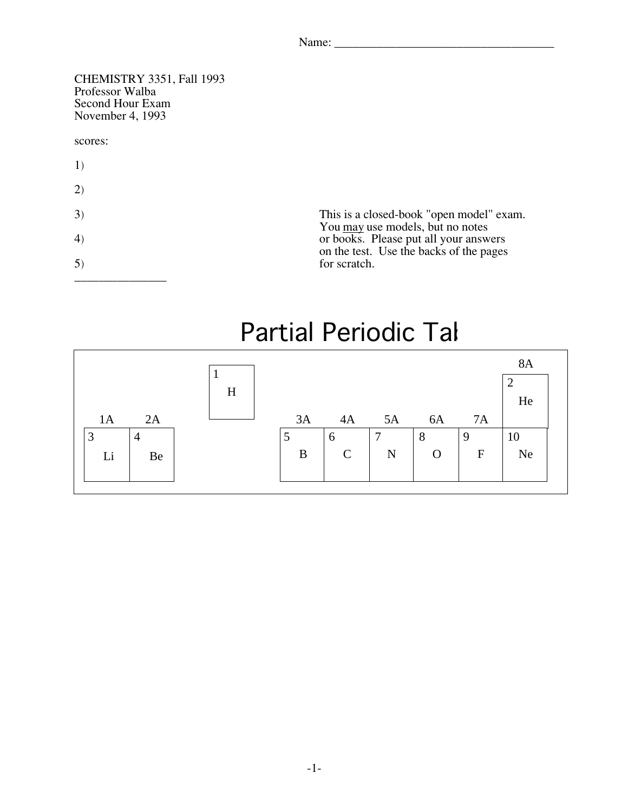CHEMISTRY 3351, Fall 1993 Second Hour Exam Second Hour Exam<br>November 4–1993  $10000001, 1999$ 

## scores:

- 1)
- 2)

| 3)<br>4)<br>5) | This is a closed-book "open model" exam.<br>You may use models, but no notes<br>or books. Please put all your answers<br>on the test. Use the backs of the pages<br>for scratch. |
|----------------|----------------------------------------------------------------------------------------------------------------------------------------------------------------------------------|
|                |                                                                                                                                                                                  |

## Partial Periodic Tal

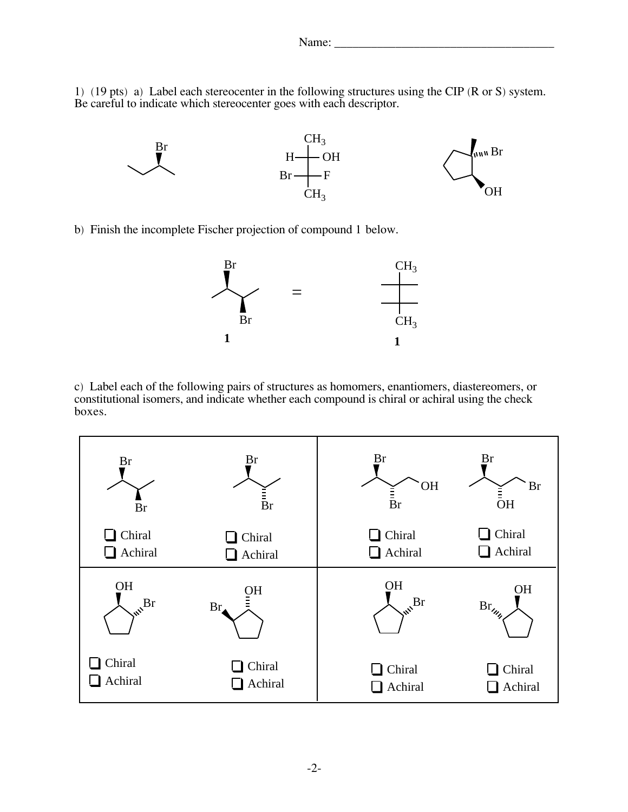$1)$  (19 pts) a) Eacor cach stereocenter in the following structures using the CIP (R or S) system.<br>Be careful to indicate which stereocenter goes with each descriptor Be careful to indicate which stereocenter goes with each descriptor.



b) Finish the incomplete Fischer projection of compound 1 below.



c) Label each of the following pairs of structures as homomers, enantiomers, diastercomers, or<br>constitutional isomers, and indicate whether each compound is chiral or achiral using the check constitutional isomers, and indicate whether each compound is chiral or achiral using the check boxes.

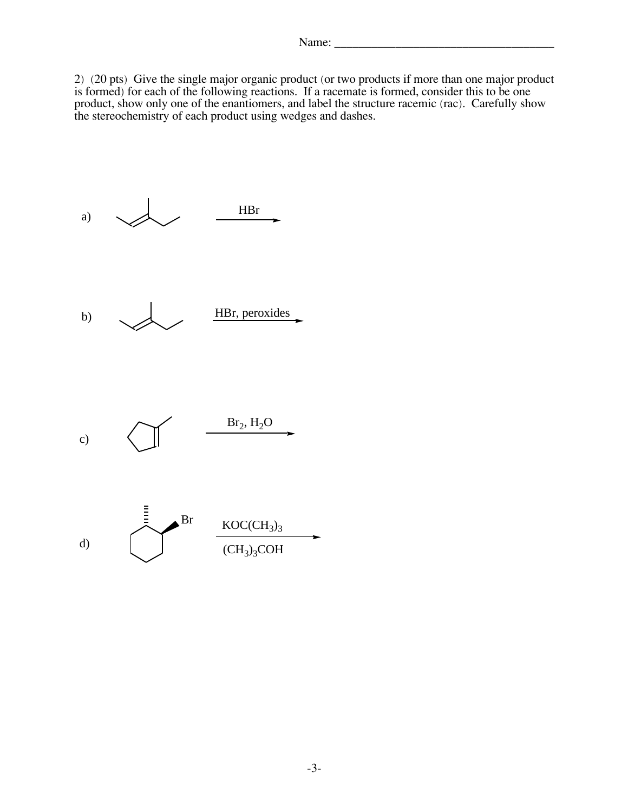2) (20 pts) Give the single major organic product (or two products if more than one major product product, show only one of the enantiomers, and label the structure racemic (rac). Carefully show product, show only one of the enantiomers, and have the structure racemic (rac). Carefully show<br>the stereochemistry of each product using wedges and dashes the stereochemistry of each product using wedges and dashes.

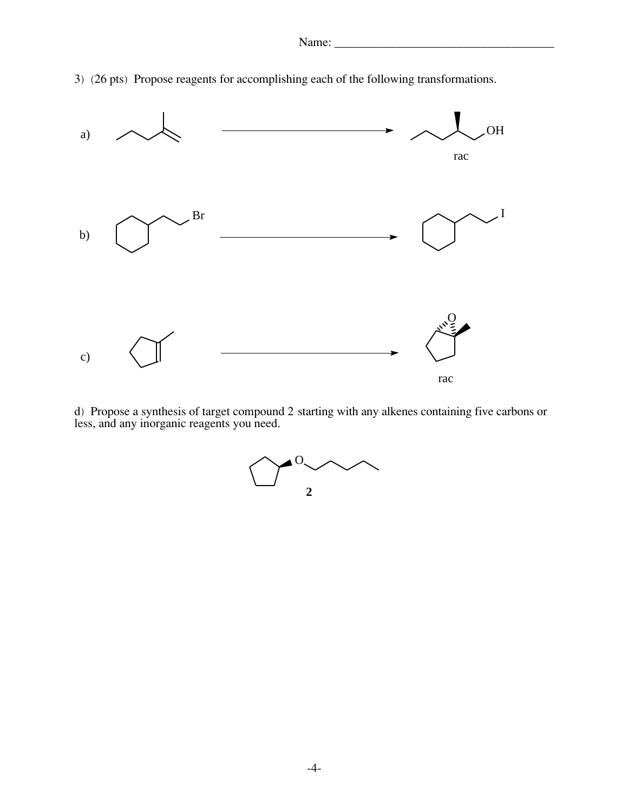3) (26 pts) Propose reagents for accomplishing each of the following transformations.



d) Propose a synthesis of target compound 2 starting with any alkenes containing five carbons or less, and any inorganic reagents you need.

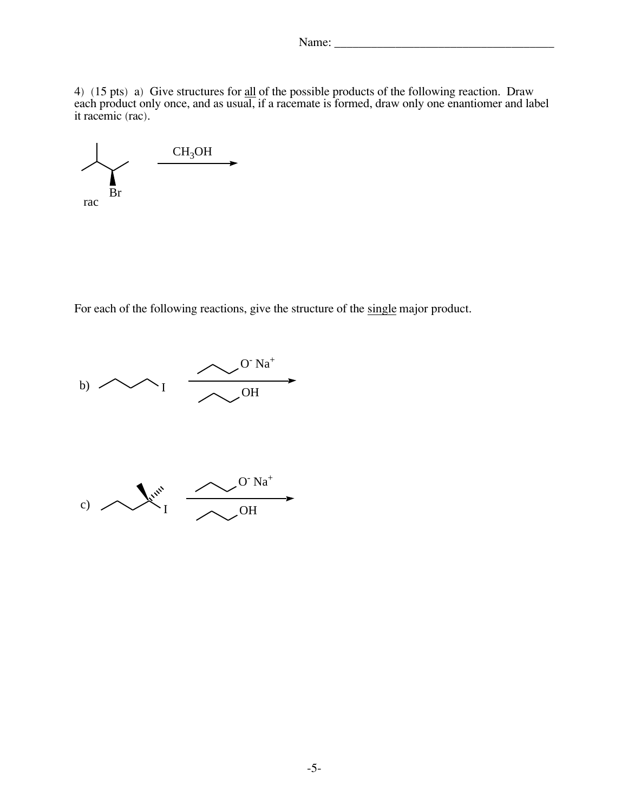$\frac{4}{1}$  (15 pts) a) Give structures for  $\frac{4}{100}$  of the possible products of the following reaction. Draw<br>each product only once and as usual if a racemate is formed draw only one enantiomer and la each product only once, and as usual, if a racemate is formed, draw only one enantiomer and label it racemic (rac).



For each of the following reactions, give the structure of the single major product.

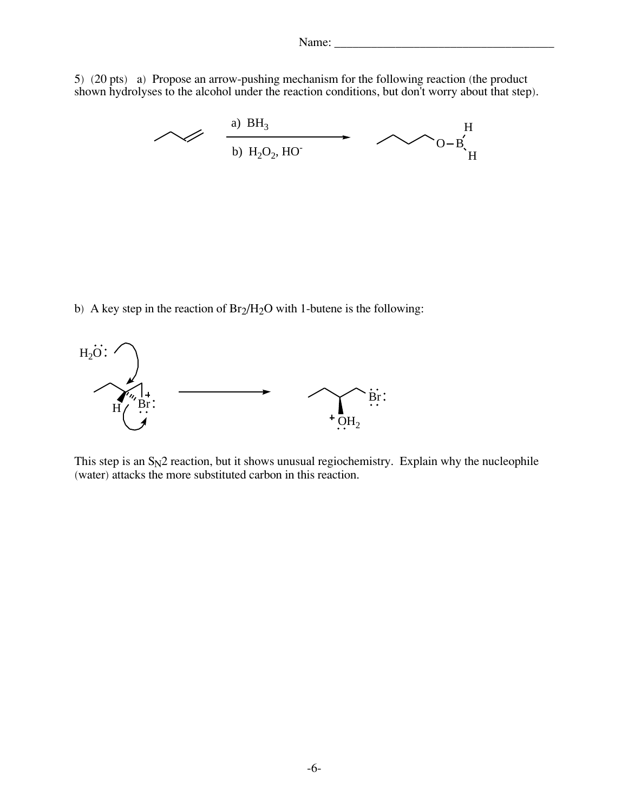$5$ ) (20 pts) a) Propose an arrow-pushing mechanism for the following reaction (the product shown hydrolyses to the alcohol under the reaction conditions, but don't worry about that step).



b) A key step in the reaction of  $Br<sub>2</sub>/H<sub>2</sub>O$  with 1-butene is the following:



This step is an S<sub>N2</sub> reaction, but it shows unusual regiochemistry. Explain why the nucleophile<br>(water) attacks the more substituted carbon in this reaction (water) attacks the more substituted carbon in this reaction.